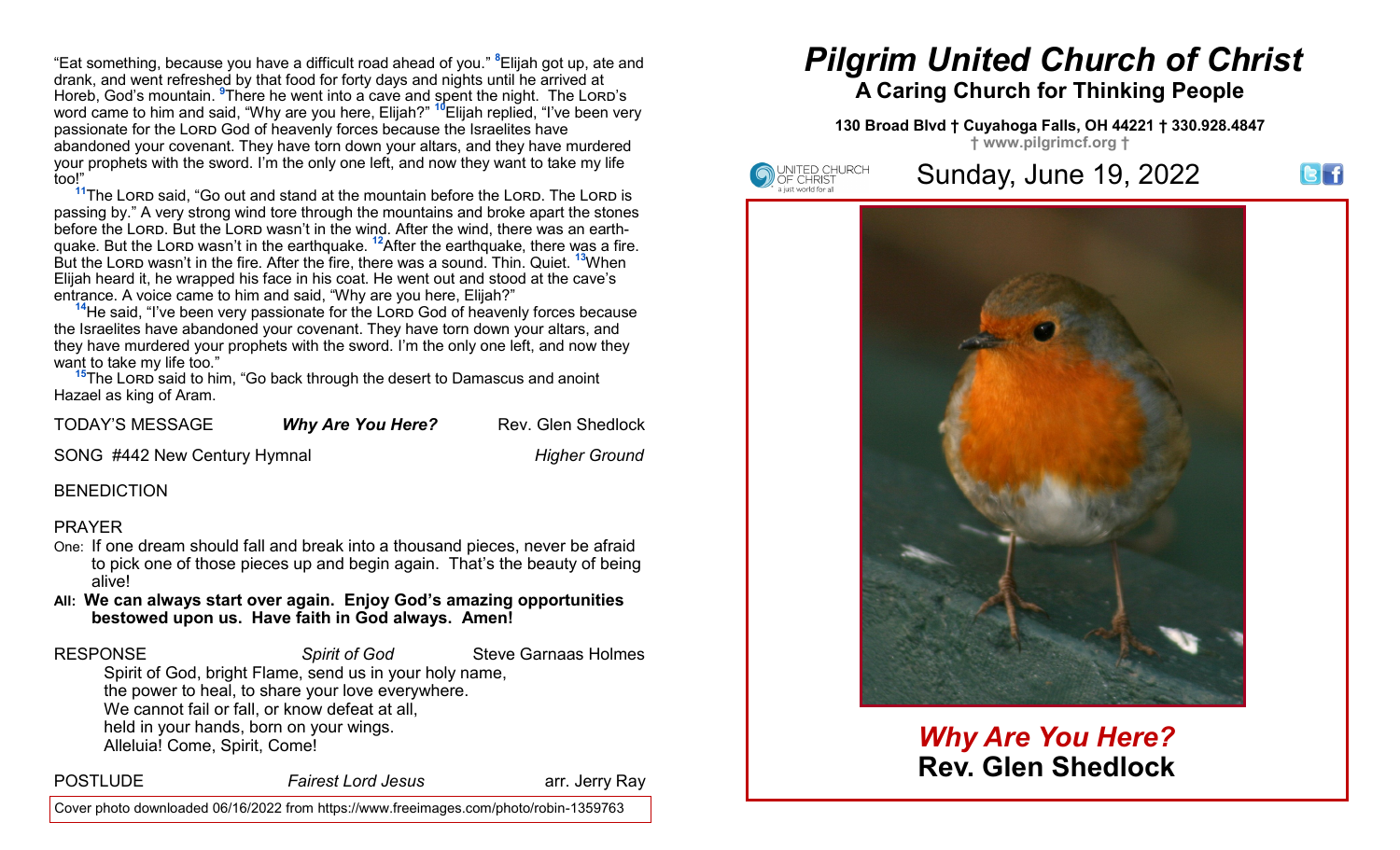"Eat something, because you have a difficult road ahead of you." **<sup>8</sup>**Elijah got up, ate and drank, and went refreshed by that food for forty days and nights until he arrived at Horeb, God's mountain. <sup>9</sup>There he went into a cave and spent the night. The Lord's word came to him and said, "Why are you here, Elijah?" **<sup>10</sup>**Elijah replied, "I've been very passionate for the LORD God of heavenly forces because the Israelites have abandoned your covenant. They have torn down your altars, and they have murdered your prophets with the sword. I'm the only one left, and now they want to take my life too!"

<sup>11</sup>The Lord said, "Go out and stand at the mountain before the Lord. The Lord is passing by." A very strong wind tore through the mountains and broke apart the stones before the LORD. But the LORD wasn't in the wind. After the wind, there was an earthquake. But the Lord wasn't in the earthquake. <sup>12</sup>After the earthquake, there was a fire. But the Lord wasn't in the fire. After the fire, there was a sound. Thin. Quiet. **<sup>13</sup>**When Elijah heard it, he wrapped his face in his coat. He went out and stood at the cave's entrance. A voice came to him and said, "Why are you here, Elijah?"

<sup>14</sup>He said, "I've been very passionate for the Lord God of heavenly forces because the Israelites have abandoned your covenant. They have torn down your altars, and they have murdered your prophets with the sword. I'm the only one left, and now they want to take my life too."

<sup>15</sup>The Lord said to him, "Go back through the desert to Damascus and anoint Hazael as king of Aram.

| <b>TODAY'S MESSAGE</b> | <b>Why Are You Here?</b> | Rev. Glen Shedlock |
|------------------------|--------------------------|--------------------|
|------------------------|--------------------------|--------------------|

SONG #442 New Century Hymnal *Higher Ground*

#### **BENEDICTION**

#### PRAYER

- One: If one dream should fall and break into a thousand pieces, never be afraid to pick one of those pieces up and begin again. That's the beauty of being alive!
- **All: We can always start over again. Enjoy God's amazing opportunities bestowed upon us. Have faith in God always. Amen!**

**RESPONSE Spirit of God** Steve Garnaas Holmes

Spirit of God, bright Flame, send us in your holy name, the power to heal, to share your love everywhere. We cannot fail or fall, or know defeat at all, held in your hands, born on your wings. Alleluia! Come, Spirit, Come!

POSTLUDE *Fairest Lord Jesus* arr. Jerry Ray

# *Pilgrim United Church of Christ* **A Caring Church for Thinking People**

#### **130 Broad Blvd † Cuyahoga Falls, OH 44221 † 330.928.4847 † www.pilgrimcf.org †**



## Sunday, June 19, 2022





## *Why Are You Here?* **Rev. Glen Shedlock**

Cover photo downloaded 06/16/2022 from https://www.freeimages.com/photo/robin-1359763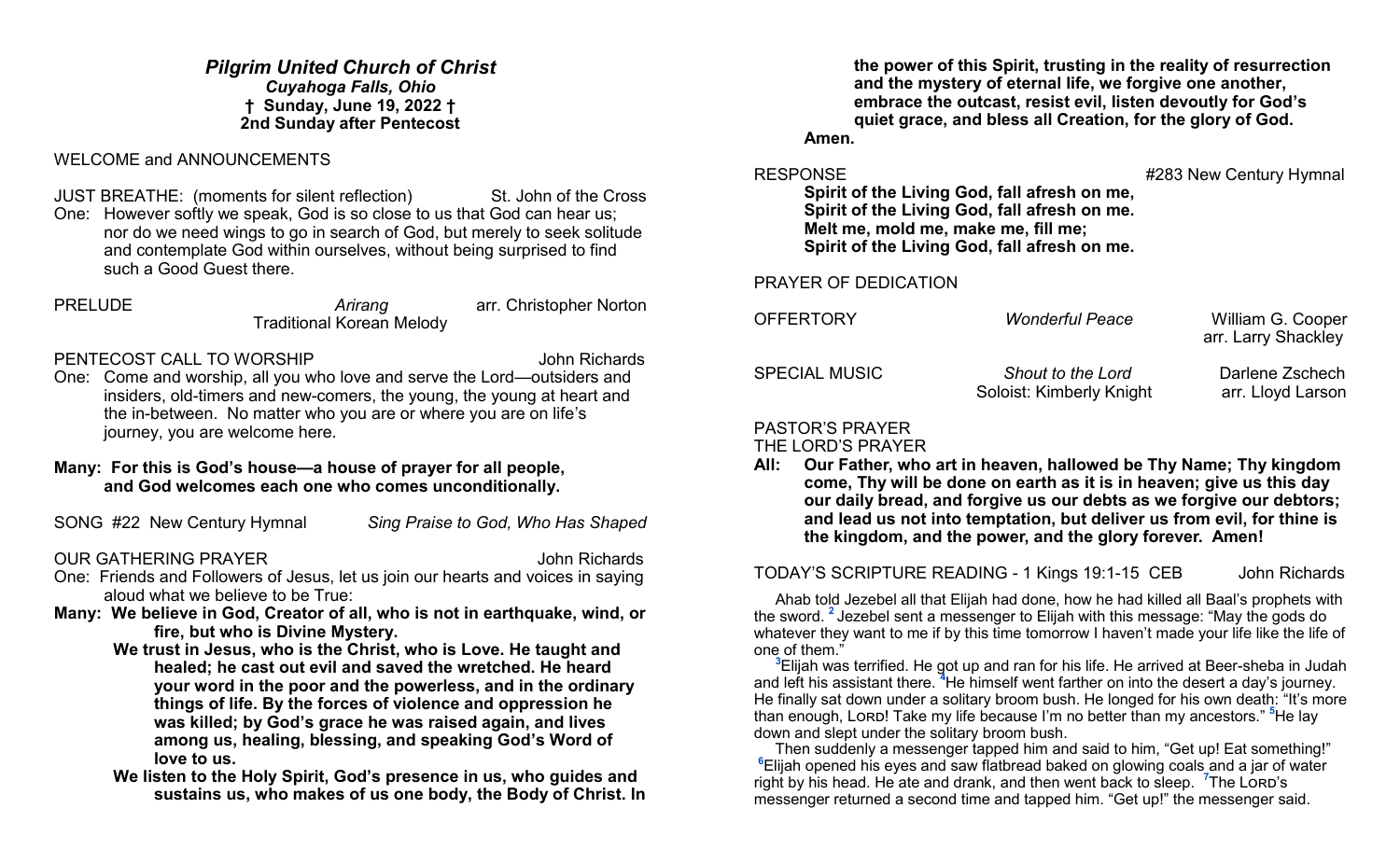*Pilgrim United Church of Christ Cuyahoga Falls, Ohio* **† Sunday, June 19, 2022 † 2nd Sunday after Pentecost**

WELCOME and ANNOUNCEMENTS

JUST BREATHE: (moments for silent reflection) St. John of the Cross One: However softly we speak, God is so close to us that God can hear us; nor do we need wings to go in search of God, but merely to seek solitude and contemplate God within ourselves, without being surprised to find such a Good Guest there.

PRELUDE *Arirang* arr. Christopher Norton Traditional Korean Melody

PENTECOST CALL TO WORSHIP **FOUR SEXUAL SEXUAL SEXUAL TO WORSHIP** 

One: Come and worship, all you who love and serve the Lord—outsiders and insiders, old-timers and new-comers, the young, the young at heart and the in-between. No matter who you are or where you are on life's journey, you are welcome here.

#### **Many: For this is God's house—a house of prayer for all people, and God welcomes each one who comes unconditionally.**

SONG #22 New Century Hymnal *Sing Praise to God, Who Has Shaped*

### OUR GATHERING PRAYER **John Richards**

- One: Friends and Followers of Jesus, let us join our hearts and voices in saying aloud what we believe to be True:
- **Many: We believe in God, Creator of all, who is not in earthquake, wind, or fire, but who is Divine Mystery.**
	- **We trust in Jesus, who is the Christ, who is Love. He taught and healed; he cast out evil and saved the wretched. He heard your word in the poor and the powerless, and in the ordinary things of life. By the forces of violence and oppression he was killed; by God's grace he was raised again, and lives among us, healing, blessing, and speaking God's Word of love to us.**
	- **We listen to the Holy Spirit, God's presence in us, who guides and sustains us, who makes of us one body, the Body of Christ. In**

**the power of this Spirit, trusting in the reality of resurrection and the mystery of eternal life, we forgive one another, embrace the outcast, resist evil, listen devoutly for God's quiet grace, and bless all Creation, for the glory of God.** 

**Amen.**

RESPONSE **All and September 2018** 1283 New Century Hymnal

**Spirit of the Living God, fall afresh on me, Spirit of the Living God, fall afresh on me. Melt me, mold me, make me, fill me; Spirit of the Living God, fall afresh on me.**

PRAYER OF DEDICATION

| <b>OFFERTORY</b>     | <b>Wonderful Peace</b>                               | William G. Cooper<br>arr. Larry Shackley |
|----------------------|------------------------------------------------------|------------------------------------------|
| <b>SPECIAL MUSIC</b> | <b>Shout to the Lord</b><br>Soloist: Kimberly Knight | Darlene Zschech<br>arr. Lloyd Larson     |

## PASTOR'S PRAYER

THE LORD'S PRAYER

**All: Our Father, who art in heaven, hallowed be Thy Name; Thy kingdom come, Thy will be done on earth as it is in heaven; give us this day our daily bread, and forgive us our debts as we forgive our debtors; and lead us not into temptation, but deliver us from evil, for thine is the kingdom, and the power, and the glory forever. Amen!**

TODAY'S SCRIPTURE READING - 1 Kings 19:1-15 CEB John Richards

 Ahab told Jezebel all that Elijah had done, how he had killed all Baal's prophets with the sword. **<sup>2</sup>** Jezebel sent a messenger to Elijah with this message: "May the gods do whatever they want to me if by this time tomorrow I haven't made your life like the life of one of them."

**<sup>3</sup>**Elijah was terrified. He got up and ran for his life. He arrived at Beer-sheba in Judah and left his assistant there. **<sup>4</sup>**He himself went farther on into the desert a day's journey. He finally sat down under a solitary broom bush. He longed for his own death: "It's more than enough, Lorp! Take my life because I'm no better than my ancestors." <sup>5</sup>He lay down and slept under the solitary broom bush.

 Then suddenly a messenger tapped him and said to him, "Get up! Eat something!" **<sup>6</sup>**Elijah opened his eyes and saw flatbread baked on glowing coals and a jar of water right by his head. He ate and drank, and then went back to sleep. <sup>7</sup>The Lord's messenger returned a second time and tapped him. "Get up!" the messenger said.